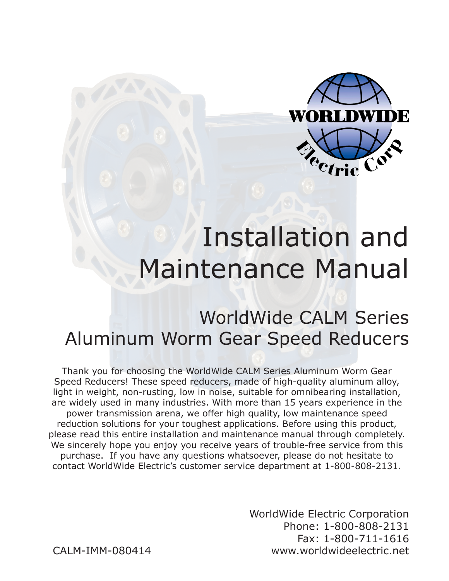

# Installation and Maintenance Manual

#### WorldWide CALM Series Aluminum Worm Gear Speed Reducers

Thank you for choosing the WorldWide CALM Series Aluminum Worm Gear Speed Reducers! These speed reducers, made of high-quality aluminum alloy, light in weight, non-rusting, low in noise, suitable for omnibearing installation, are widely used in many industries. With more than 15 years experience in the power transmission arena, we offer high quality, low maintenance speed reduction solutions for your toughest applications. Before using this product, please read this entire installation and maintenance manual through completely. We sincerely hope you enjoy you receive years of trouble-free service from this purchase. If you have any questions whatsoever, please do not hesitate to contact WorldWide Electric's customer service department at 1-800-808-2131.

> WorldWide Electric Corporation Phone: 1-800-808-2131 Fax: 1-800-711-1616 www.worldwideelectric.net

CALM-IMM-080414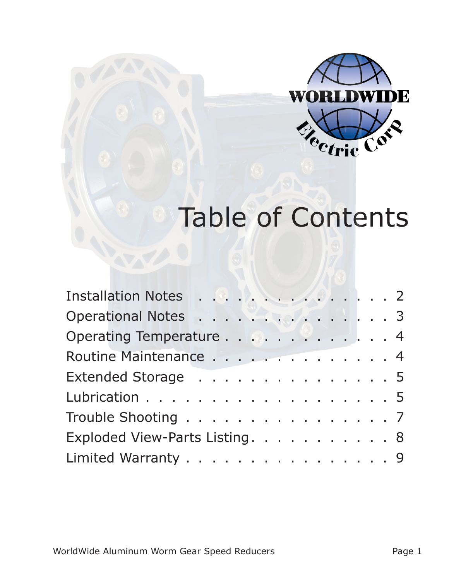

# Table of Contents

| Installation Notes 2           |  |
|--------------------------------|--|
| Operational Notes 3            |  |
| Operating Temperature 4        |  |
| Routine Maintenance 4          |  |
| Extended Storage 5             |  |
| Lubrication 5                  |  |
| Trouble Shooting 7             |  |
| Exploded View-Parts Listing. 8 |  |
| Limited Warranty 9             |  |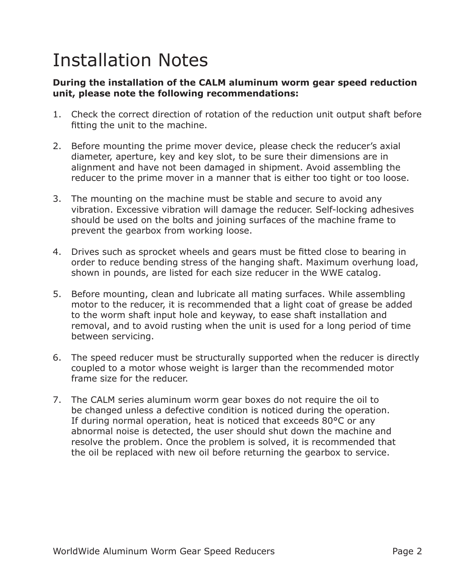### Installation Notes

#### **During the installation of the CALM aluminum worm gear speed reduction unit, please note the following recommendations:**

- 1. Check the correct direction of rotation of the reduction unit output shaft before fitting the unit to the machine.
- 2. Before mounting the prime mover device, please check the reducer's axial diameter, aperture, key and key slot, to be sure their dimensions are in alignment and have not been damaged in shipment. Avoid assembling the reducer to the prime mover in a manner that is either too tight or too loose.
- 3. The mounting on the machine must be stable and secure to avoid any vibration. Excessive vibration will damage the reducer. Self-locking adhesives should be used on the bolts and joining surfaces of the machine frame to prevent the gearbox from working loose.
- 4. Drives such as sprocket wheels and gears must be fitted close to bearing in order to reduce bending stress of the hanging shaft. Maximum overhung load, shown in pounds, are listed for each size reducer in the WWE catalog.
- 5. Before mounting, clean and lubricate all mating surfaces. While assembling motor to the reducer, it is recommended that a light coat of grease be added to the worm shaft input hole and keyway, to ease shaft installation and removal, and to avoid rusting when the unit is used for a long period of time between servicing.
- 6. The speed reducer must be structurally supported when the reducer is directly coupled to a motor whose weight is larger than the recommended motor frame size for the reducer.
- 7. The CALM series aluminum worm gear boxes do not require the oil to be changed unless a defective condition is noticed during the operation. If during normal operation, heat is noticed that exceeds 80°C or any abnormal noise is detected, the user should shut down the machine and resolve the problem. Once the problem is solved, it is recommended that the oil be replaced with new oil before returning the gearbox to service.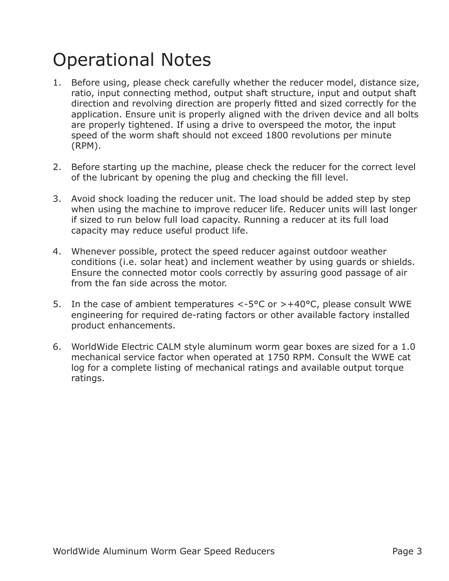### Operational Notes

- 1. Before using, please check carefully whether the reducer model, distance size, ratio, input connecting method, output shaft structure, input and output shaft direction and revolving direction are properly fitted and sized correctly for the application. Ensure unit is properly aligned with the driven device and all bolts are properly tightened. If using a drive to overspeed the motor, the input speed of the worm shaft should not exceed 1800 revolutions per minute (RPM).
- 2. Before starting up the machine, please check the reducer for the correct level of the lubricant by opening the plug and checking the fill level.
- 3. Avoid shock loading the reducer unit. The load should be added step by step when using the machine to improve reducer life. Reducer units will last longer if sized to run below full load capacity. Running a reducer at its full load capacity may reduce useful product life.
- 4. Whenever possible, protect the speed reducer against outdoor weather conditions (i.e. solar heat) and inclement weather by using guards or shields. Ensure the connected motor cools correctly by assuring good passage of air from the fan side across the motor.
- 5. In the case of ambient temperatures  $\lt$ -5°C or  $> +40$ °C, please consult WWE engineering for required de-rating factors or other available factory installed product enhancements.
- 6. WorldWide Electric CALM style aluminum worm gear boxes are sized for a 1.0 mechanical service factor when operated at 1750 RPM. Consult the WWE cat log for a complete listing of mechanical ratings and available output torque ratings.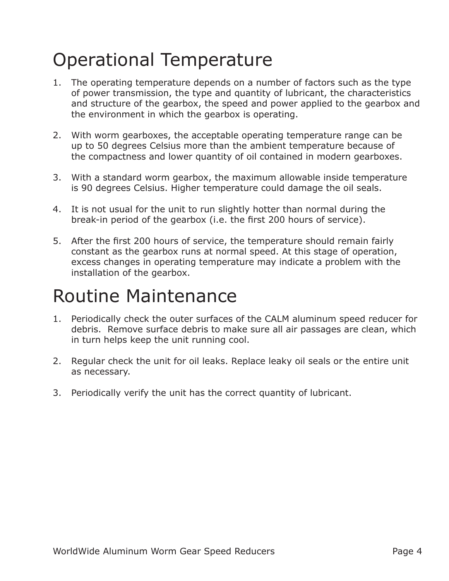## Operational Temperature

- 1. The operating temperature depends on a number of factors such as the type of power transmission, the type and quantity of lubricant, the characteristics and structure of the gearbox, the speed and power applied to the gearbox and the environment in which the gearbox is operating.
- 2. With worm gearboxes, the acceptable operating temperature range can be up to 50 degrees Celsius more than the ambient temperature because of the compactness and lower quantity of oil contained in modern gearboxes.
- 3. With a standard worm gearbox, the maximum allowable inside temperature is 90 degrees Celsius. Higher temperature could damage the oil seals.
- 4. It is not usual for the unit to run slightly hotter than normal during the break-in period of the gearbox (i.e. the first 200 hours of service).
- 5. After the first 200 hours of service, the temperature should remain fairly constant as the gearbox runs at normal speed. At this stage of operation, excess changes in operating temperature may indicate a problem with the installation of the gearbox.

#### Routine Maintenance

- 1. Periodically check the outer surfaces of the CALM aluminum speed reducer for debris. Remove surface debris to make sure all air passages are clean, which in turn helps keep the unit running cool.
- 2. Regular check the unit for oil leaks. Replace leaky oil seals or the entire unit as necessary.
- 3. Periodically verify the unit has the correct quantity of lubricant.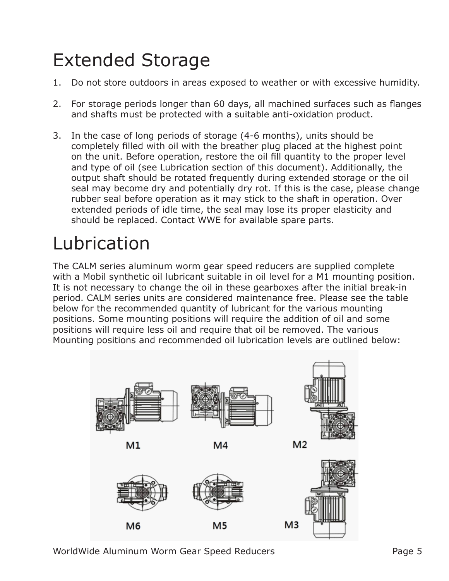# Extended Storage

- 1. Do not store outdoors in areas exposed to weather or with excessive humidity.
- 2. For storage periods longer than 60 days, all machined surfaces such as flanges and shafts must be protected with a suitable anti-oxidation product.
- 3. In the case of long periods of storage (4-6 months), units should be completely filled with oil with the breather plug placed at the highest point on the unit. Before operation, restore the oil fill quantity to the proper level and type of oil (see Lubrication section of this document). Additionally, the output shaft should be rotated frequently during extended storage or the oil seal may become dry and potentially dry rot. If this is the case, please change rubber seal before operation as it may stick to the shaft in operation. Over extended periods of idle time, the seal may lose its proper elasticity and should be replaced. Contact WWE for available spare parts.

# Lubrication

The CALM series aluminum worm gear speed reducers are supplied complete with a Mobil synthetic oil lubricant suitable in oil level for a M1 mounting position. It is not necessary to change the oil in these gearboxes after the initial break-in period. CALM series units are considered maintenance free. Please see the table below for the recommended quantity of lubricant for the various mounting positions. Some mounting positions will require the addition of oil and some positions will require less oil and require that oil be removed. The various Mounting positions and recommended oil lubrication levels are outlined below:

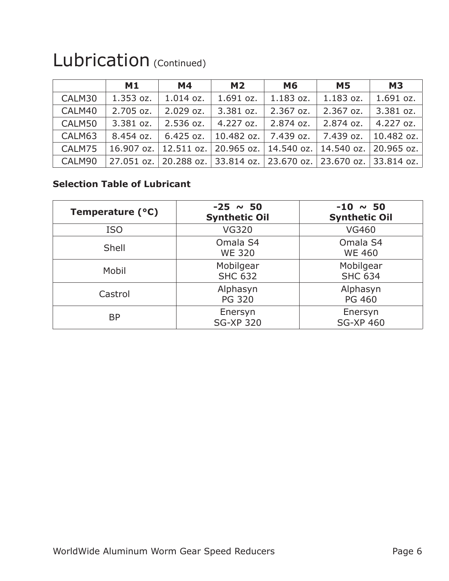|        | M1        | <b>M4</b>                                                         | <b>M2</b>    | <b>M6</b> | <b>M5</b>   | <b>M3</b>   |
|--------|-----------|-------------------------------------------------------------------|--------------|-----------|-------------|-------------|
| CALM30 | 1.353 oz. | 1.014 oz.                                                         | 1.691 oz.    | 1.183 oz. | 1.183 oz.   | 1.691 oz.   |
| CALM40 | 2.705 oz. | $2.029$ oz.                                                       | 3.381 oz.    | 2.367 oz. | $2.367$ oz. | 3.381 oz.   |
| CALM50 | 3.381 oz. | 2.536 oz.                                                         | $4.227$ oz.  | 2.874 oz. | 2.874 oz.   | $4.227$ oz. |
| CALM63 | 8.454 oz. | $6.425$ oz.                                                       | $10.482$ oz. | 7.439 oz. | 7.439 oz.   | 10.482 oz.  |
| CALM75 |           | 16.907 oz.   12.511 oz.   20.965 oz.   14.540 oz.   14.540 oz.    |              |           |             | 20.965 oz.  |
| CALM90 |           | 27.051 oz. 20.288 oz. 33.814 oz. 23.670 oz. 23.670 oz. 33.814 oz. |              |           |             |             |

#### Lubrication (Continued)

#### **Selection Table of Lubricant**

| Temperature (°C) | $-25 \sim 50$<br><b>Synthetic Oil</b> | $-10 \sim 50$<br><b>Synthetic Oil</b> |
|------------------|---------------------------------------|---------------------------------------|
| <b>ISO</b>       | <b>VG320</b>                          | <b>VG460</b>                          |
| Shell            | Omala S4<br><b>WE 320</b>             | Omala S4<br><b>WE 460</b>             |
| Mobil            | Mobilgear<br><b>SHC 632</b>           | Mobilgear<br><b>SHC 634</b>           |
| Castrol          | Alphasyn<br><b>PG 320</b>             | Alphasyn<br><b>PG 460</b>             |
| <b>BP</b>        | Enersyn<br><b>SG-XP 320</b>           | Enersyn<br><b>SG-XP 460</b>           |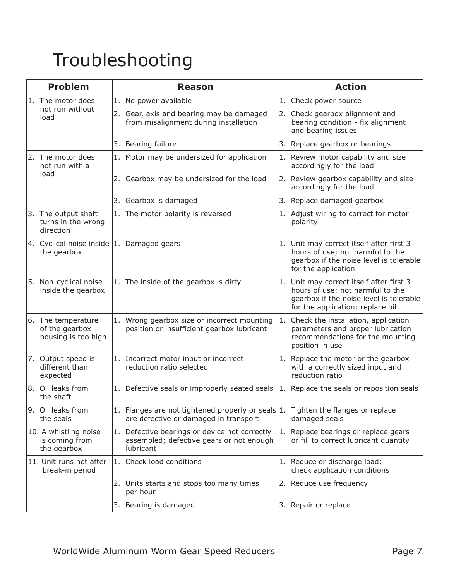## Troubleshooting

| <b>Problem</b> |                                                              | <b>Reason</b> |                                                                                                                           | <b>Action</b> |                                                                                                                                                             |  |
|----------------|--------------------------------------------------------------|---------------|---------------------------------------------------------------------------------------------------------------------------|---------------|-------------------------------------------------------------------------------------------------------------------------------------------------------------|--|
|                | 1. The motor does<br>not run without<br>load                 |               | 1. No power available                                                                                                     |               | 1. Check power source                                                                                                                                       |  |
|                |                                                              |               | 2. Gear, axis and bearing may be damaged<br>from misalignment during installation                                         |               | 2. Check gearbox alignment and<br>bearing condition - fix alignment<br>and bearing issues                                                                   |  |
|                |                                                              |               | 3. Bearing failure                                                                                                        | 3.            | Replace gearbox or bearings                                                                                                                                 |  |
|                | 2. The motor does<br>not run with a<br>load                  |               | 1. Motor may be undersized for application                                                                                |               | 1. Review motor capability and size<br>accordingly for the load                                                                                             |  |
|                |                                                              |               | 2. Gearbox may be undersized for the load                                                                                 |               | 2. Review gearbox capability and size<br>accordingly for the load                                                                                           |  |
|                |                                                              |               | 3. Gearbox is damaged                                                                                                     |               | 3. Replace damaged gearbox                                                                                                                                  |  |
|                | 3. The output shaft<br>turns in the wrong<br>direction       |               | 1. The motor polarity is reversed                                                                                         |               | 1. Adjust wiring to correct for motor<br>polarity                                                                                                           |  |
|                | 4. Cyclical noise inside $ 1$ . Damaged gears<br>the gearbox |               |                                                                                                                           |               | 1. Unit may correct itself after first 3<br>hours of use; not harmful to the<br>gearbox if the noise level is tolerable<br>for the application              |  |
|                | 5. Non-cyclical noise<br>inside the gearbox                  |               | 1. The inside of the gearbox is dirty                                                                                     |               | 1. Unit may correct itself after first 3<br>hours of use; not harmful to the<br>gearbox if the noise level is tolerable<br>for the application; replace oil |  |
|                | 6. The temperature<br>of the gearbox<br>housing is too high  |               | 1. Wrong gearbox size or incorrect mounting<br>position or insufficient gearbox lubricant                                 |               | 1. Check the installation, application<br>parameters and proper lubrication<br>recommendations for the mounting<br>position in use                          |  |
|                | 7. Output speed is<br>different than<br>expected             |               | 1. Incorrect motor input or incorrect<br>reduction ratio selected                                                         |               | 1. Replace the motor or the gearbox<br>with a correctly sized input and<br>reduction ratio                                                                  |  |
|                | 8. Oil leaks from<br>the shaft                               |               | 1. Defective seals or improperly seated seals                                                                             |               | 1. Replace the seals or reposition seals                                                                                                                    |  |
|                | 9. Oil leaks from<br>the seals                               |               | 1. Flanges are not tightened properly or seals 1. Tighten the flanges or replace<br>are defective or damaged in transport |               | damaged seals                                                                                                                                               |  |
|                | 10. A whistling noise<br>is coming from<br>the gearbox       | 1.            | Defective bearings or device not correctly<br>assembled; defective gears or not enough<br>lubricant                       | 1.            | Replace bearings or replace gears<br>or fill to correct lubricant quantity                                                                                  |  |
|                | 11. Unit runs hot after<br>break-in period                   |               | 1. Check load conditions                                                                                                  |               | 1. Reduce or discharge load;<br>check application conditions                                                                                                |  |
|                |                                                              |               | 2. Units starts and stops too many times<br>per hour                                                                      |               | 2. Reduce use frequency                                                                                                                                     |  |
|                |                                                              |               | 3. Bearing is damaged                                                                                                     |               | 3. Repair or replace                                                                                                                                        |  |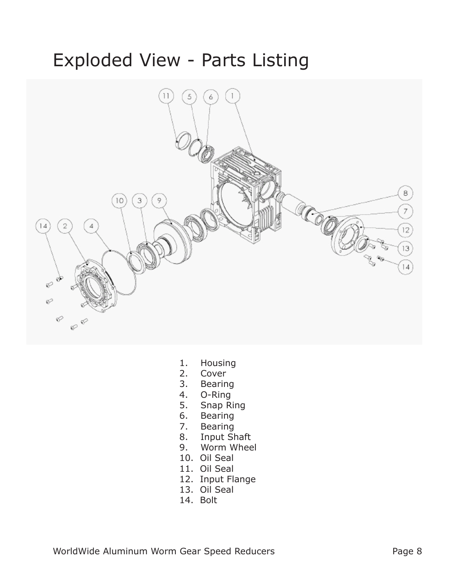#### Exploded View - Parts Listing



- 1. Housing
- 2. Cover<br>3. Bearin
- **Bearing**
- 4. O-Ring
- 5. Snap Ring
- 6. Bearing
- 7. Bearing
- 8. Input Shaft
- 9. Worm Wheel
- 10. Oil Seal
- 11. Oil Seal
- 12. Input Flange
- 13. Oil Seal
- 14. Bolt